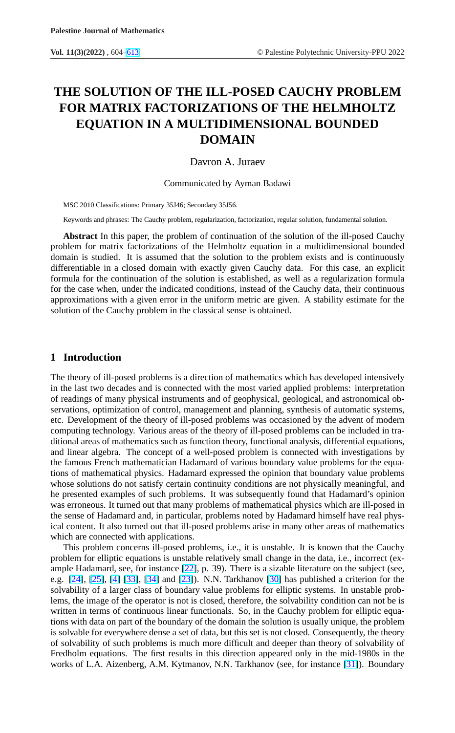# **THE SOLUTION OF THE ILL-POSED CAUCHY PROBLEM FOR MATRIX FACTORIZATIONS OF THE HELMHOLTZ EQUATION IN A MULTIDIMENSIONAL BOUNDED DOMAIN**

# Davron A. Juraev

Communicated by Ayman Badawi

MSC 2010 Classifications: Primary 35J46; Secondary 35J56.

Keywords and phrases: The Cauchy problem, regularization, factorization, regular solution, fundamental solution.

**Abstract** In this paper, the problem of continuation of the solution of the ill-posed Cauchy problem for matrix factorizations of the Helmholtz equation in a multidimensional bounded domain is studied. It is assumed that the solution to the problem exists and is continuously differentiable in a closed domain with exactly given Cauchy data. For this case, an explicit formula for the continuation of the solution is established, as well as a regularization formula for the case when, under the indicated conditions, instead of the Cauchy data, their continuous approximations with a given error in the uniform metric are given. A stability estimate for the solution of the Cauchy problem in the classical sense is obtained.

## **1 Introduction**

The theory of ill-posed problems is a direction of mathematics which has developed intensively in the last two decades and is connected with the most varied applied problems: interpretation of readings of many physical instruments and of geophysical, geological, and astronomical observations, optimization of control, management and planning, synthesis of automatic systems, etc. Development of the theory of ill-posed problems was occasioned by the advent of modern computing technology. Various areas of the theory of ill-posed problems can be included in traditional areas of mathematics such as function theory, functional analysis, differential equations, and linear algebra. The concept of a well-posed problem is connected with investigations by the famous French mathematician Hadamard of various boundary value problems for the equations of mathematical physics. Hadamard expressed the opinion that boundary value problems whose solutions do not satisfy certain continuity conditions are not physically meaningful, and he presented examples of such problems. It was subsequently found that Hadamard's opinion was erroneous. It turned out that many problems of mathematical physics which are ill-posed in the sense of Hadamard and, in particular, problems noted by Hadamard himself have real physical content. It also turned out that ill-posed problems arise in many other areas of mathematics which are connected with applications.

This problem concerns ill-posed problems, i.e., it is unstable. It is known that the Cauchy problem for elliptic equations is unstable relatively small change in the data, i.e., incorrect (example Hadamard, see, for instance [22], p. 39). There is a sizable literature on the subject (see, e.g. [24], [25], [4] [33], [34] and [23]). N.N. Tarkhanov [30] has published a criterion for the solvability of a larger class of boun[dar](#page-8-0)y value problems for elliptic systems. In unstable problems, [the](#page-8-0) i[mag](#page-9-0)e [of](#page-8-0) t[he o](#page-9-0)p[erat](#page-9-0)or is [not i](#page-8-0)s closed, therefore, t[he](#page-9-0) solvability condition can not be is written in terms of continuous linear functionals. So, in the Cauchy problem for elliptic equations with data on part of the boundary of the domain the solution is usually unique, the problem is solvable for everywhere dense a set of data, but this set is not closed. Consequently, the theory of solvability of such problems is much more difficult and deeper than theory of solvability of Fredholm equations. The first results in this direction appeared only in the mid-1980s in the works of L.A. Aizenberg, A.M. Kytmanov, N.N. Tarkhanov (see, for instance [31]). Boundary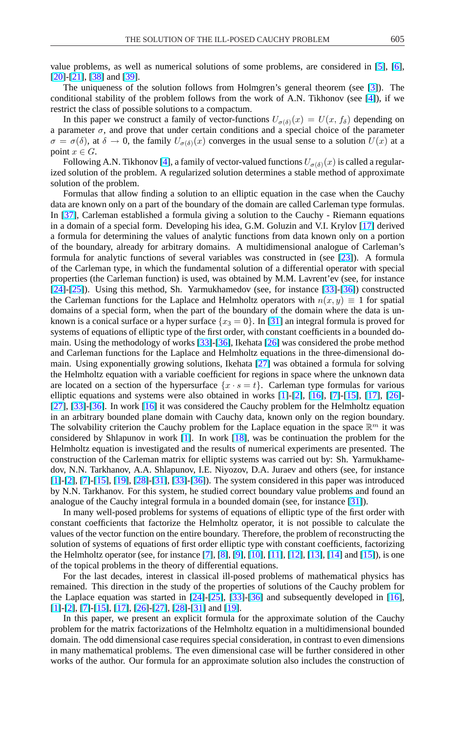value problems, as well as numerical solutions of some problems, are considered in [5], [6], [20]-[21], [38] and [39].

The uniqueness of the solution follows from Holmgren's general theorem (see [3[\]\).](#page-8-0) [Th](#page-8-0)e [cond](#page-8-0)i[tion](#page-8-0)a[l sta](#page-9-0)bilit[y of](#page-9-0) the problem follows from the work of A.N. Tikhonov (see [4]), if we restrict the class of possible solutions to a compactum.

In this paper we construct a family of vector-functions  $U_{\sigma(\delta)}(x) = U(x, f_{\delta})$  dep[end](#page-8-0)ing on a parameter  $\sigma$ , and prove that under certain conditions and a special choice of the parameter  $\sigma = \sigma(\delta)$ , at  $\delta \to 0$ , the family  $U_{\sigma(\delta)}(x)$  converges in the usual sense to a solution  $U(x)$  at a point  $x \in G$ .

Following A.N. Tikhonov [4], a family of vector-valued functions  $U_{\sigma(\delta)}(x)$  is called a regularized solution of the problem. A regularized solution determines a stable method of approximate solution of the problem.

Formulas that allow findi[ng](#page-8-0) a solution to an elliptic equation in the case when the Cauchy data are known only on a part of the boundary of the domain are called Carleman type formulas. In [37], Carleman established a formula giving a solution to the Cauchy - Riemann equations in a domain of a special form. Developing his idea, G.M. Goluzin and V.I. Krylov [17] derived a formula for determining the values of analytic functions from data known only on a portion of [the](#page-9-0) boundary, already for arbitrary domains. A multidimensional analogue of [Car](#page-8-0)leman's formula for analytic functions of several variables was constructed in (see [23]). A formula of the Carleman type, in which the fundamental solution of a differential operator with special properties (the Carleman function) is used, was obtained by M.M. Lavrent'ev [\(se](#page-8-0)e, for instance [24]-[25]). Using this method, Sh. Yarmukhamedov (see, for instance [33]-[36]) constructed the Carleman functions for the Laplace and Helmholtz operators with  $n(x, y) \equiv 1$  for spatial [dom](#page-8-0)a[ins](#page-9-0) of a special form, when the part of the boundary of the domain [wh](#page-9-0)e[re t](#page-9-0)he data is unknown is a conical surface or a hyper surface  $\{x_3 = 0\}$ . In [31] an integral formula is proved for systems of equations of elliptic type of the first order, with constant coefficients in a bounded domain. Using the methodology of works [33]-[36], Ikehata [[26\]](#page-9-0) was considered the probe method and Carleman functions for the Laplace and Helmholtz equations in the three-dimensional domain. Using exponentially growing sol[utio](#page-9-0)n[s, I](#page-9-0)kehata [2[7\] w](#page-9-0)as obtained a formula for solving the Helmholtz equation with a variable coefficient for regions in space where the unknown data are located on a section of the hypersurface  $\{x \cdot s = t\}$ . Carleman type formulas for various elliptic equations and systems were also obtained in [work](#page-9-0)s [1]-[2], [16], [7]-[15], [17], [26]- [27], [33]-[36]. In work [16] it was considered the Cauchy problem for the Helmholtz equation in an arbitrary bounded plane domain with Cauchy data, kn[ow](#page-8-0)n [on](#page-8-0)l[y on](#page-8-0) t[he](#page-8-0) r[egio](#page-8-0)n [bou](#page-8-0)n[dary](#page-9-0). [The](#page-9-0) s[olva](#page-9-0)b[ility](#page-9-0) criterion [the](#page-8-0) Cauchy problem for the Laplace equation in the space  $\mathbb{R}^m$  it was considered by Shlapunov in work [1]. In work [18], was be continuation the problem for the Helmholtz equation is investigated and the results of numerical experiments are presented. The construction of the Carleman matri[x f](#page-8-0)or elliptic s[yste](#page-8-0)ms was carried out by: Sh. Yarmukhamedov, N.N. Tarkhanov, A.A. Shlapunov, I.E. Niyozov, D.A. Juraev and others (see, for instance [1]-[2], [7]-[15], [19], [28]-[31], [33]-[36]). The system considered in this paper was introduced by N.N. Tarkhanov. For this system, he studied correct boundary value problems and found an [an](#page-8-0)al[og](#page-8-0)u[e o](#page-8-0)f [the](#page-8-0) [Cauc](#page-8-0)h[y in](#page-9-0)te[gra](#page-9-0)l f[ormula i](#page-9-0)n a bounded domain (see, for instance [31]).

In many well-posed problems for systems of equations of elliptic type of the first order with constant coefficients that factorize the Helmholtz operator, it is not possible t[o ca](#page-9-0)lculate the values of the vector function on the entire boundary. Therefore, the problem of reconstructing the solution of systems of equations of first order elliptic type with constant coefficients, factorizing the Helmholtz operator (see, for instance [7], [8], [9], [10], [11], [12], [13], [14] and [15]), is one of the topical problems in the theory of differential equations.

For the last decades, interest in classical ill-posed problems of mathematical physics has remained. This direction in the study of [th](#page-8-0)e [proper](#page-8-0)ti[es o](#page-8-0)f [solu](#page-8-0)ti[ons](#page-8-0) o[f th](#page-8-0)e [Cau](#page-8-0)chy [prob](#page-8-0)lem for the Laplace equation was started in [24]-[25], [33]-[36] and subsequently developed in [16], [1]-[2], [7]-[15], [17], [26]-[27], [28]-[31] and [19].

In this paper, we present an expl[icit](#page-8-0) f[orm](#page-9-0)ul[a fo](#page-9-0)r [the](#page-9-0) approximate solution of the Ca[uch](#page-8-0)y [proble](#page-8-0)m [fo](#page-8-0)r [the](#page-8-0) [matr](#page-8-0)ix [fac](#page-9-0)t[oriz](#page-9-0)ati[ons](#page-9-0) [of th](#page-9-0)e He[lmh](#page-8-0)oltz equation in a multidimensional bounded domain. The odd dimensional case requires special consideration, in contrast to even dimensions in many mathematical problems. The even dimensional case will be further considered in other works of the author. Our formula for an approximate solution also includes the construction of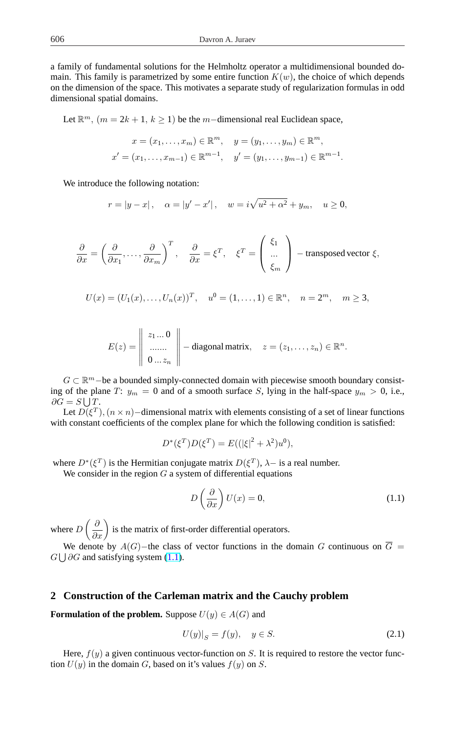a family of fundamental solutions for the Helmholtz operator a multidimensional bounded domain. This family is parametrized by some entire function  $K(w)$ , the choice of which depends on the dimension of the space. This motivates a separate study of regularization formulas in odd dimensional spatial domains.

Let  $\mathbb{R}^m$ ,  $(m = 2k + 1, k \ge 1)$  be the m-dimensional real Euclidean space,

$$
x = (x_1, \dots, x_m) \in \mathbb{R}^m, \quad y = (y_1, \dots, y_m) \in \mathbb{R}^m,
$$
  

$$
x' = (x_1, \dots, x_{m-1}) \in \mathbb{R}^{m-1}, \quad y' = (y_1, \dots, y_{m-1}) \in \mathbb{R}^{m-1}.
$$

We introduce the following notation:

$$
r = |y - x|
$$
,  $\alpha = |y' - x'|$ ,  $w = i\sqrt{u^2 + \alpha^2} + y_m$ ,  $u \ge 0$ ,

$$
\frac{\partial}{\partial x} = \left(\frac{\partial}{\partial x_1}, \dots, \frac{\partial}{\partial x_m}\right)^T, \quad \frac{\partial}{\partial x} = \xi^T, \quad \xi^T = \left(\begin{array}{c} \xi_1 \\ \dots \\ \xi_m \end{array}\right) - \text{transposed vector } \xi,
$$

$$
U(x) = (U_1(x), \dots, U_n(x))^T, \quad u^0 = (1, \dots, 1) \in \mathbb{R}^n, \quad n = 2^m, \quad m \ge 3,
$$

$$
E(z) = \begin{vmatrix} z_1 \dots 0 \\ \dots \dots \\ 0 \dots z_n \end{vmatrix} - \text{diagonal matrix}, \quad z = (z_1, \dots, z_n) \in \mathbb{R}^n.
$$

 $G \subset \mathbb{R}^m$  – be a bounded simply-connected domain with piecewise smooth boundary consisting of the plane T:  $y_m = 0$  and of a smooth surface S, lying in the half-space  $y_m > 0$ , i.e.,  $\partial G = S \bigcup T$ .

Let  $D(\xi^T)$ ,  $(n \times n)$  – dimensional matrix with elements consisting of a set of linear functions with constant coefficients of the complex plane for which the following condition is satisfied:

$$
D^*(\xi^T)D(\xi^T) = E((|\xi|^2 + \lambda^2)u^0),
$$

where  $D^*(\xi^T)$  is the Hermitian conjugate matrix  $D(\xi^T)$ ,  $\lambda$  – is a real number.

We consider in the region  $G$  a system of differential equations

$$
D\left(\frac{\partial}{\partial x}\right)U(x) = 0,\t\t(1.1)
$$

where D  $\left(\frac{\partial}{\partial x}\right)$  is the matrix of first-order differential operators.

We denote by  $A(G)$ −the class of vector functions in the domain G continuous on  $\overline{G}$  =  $G \bigcup \partial G$  and satisfying system (1.1).

### **2 Construction of the Carleman matrix and the Cauchy problem**

**Formulation of the problem.** Suppose  $U(y) \in A(G)$  and

$$
U(y)|_S = f(y), \quad y \in S. \tag{2.1}
$$

Here,  $f(y)$  a given continuous vector-function on S. It is required to restore the vector function  $U(y)$  in the domain G, based on it's values  $f(y)$  on S.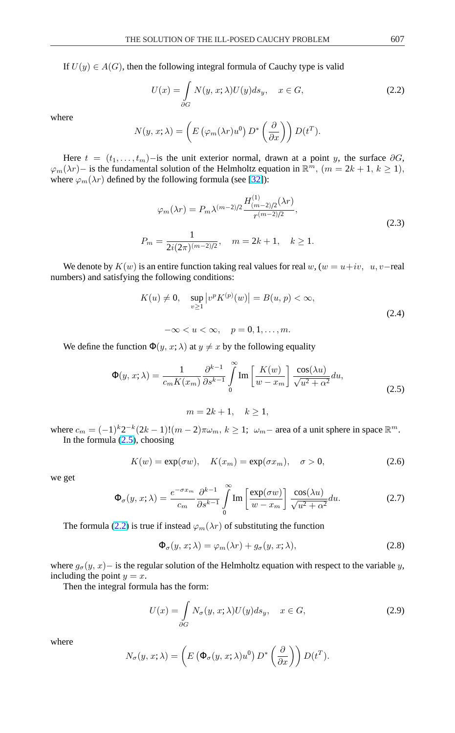<span id="page-3-0"></span>If  $U(y) \in A(G)$ , then the following integral formula of Cauchy type is valid

$$
U(x) = \int_{\partial G} N(y, x; \lambda) U(y) ds_y, \quad x \in G,
$$
\n(2.2)

where

$$
N(y, x; \lambda) = \left( E \left( \varphi_m(\lambda r) u^0 \right) D^* \left( \frac{\partial}{\partial x} \right) \right) D(t^T).
$$

Here  $t = (t_1, \ldots, t_m)$ −is the unit exterior normal, drawn at a point y, the surface  $\partial G$ ,  $\varphi_m(\lambda r)$  – is the fundamental solution of the Helmholtz equation in  $\mathbb{R}^m$ ,  $(m = 2k + 1, k \ge 1)$ , where  $\varphi_m(\lambda r)$  defined by the following formula (see [32]):

$$
\varphi_m(\lambda r) = P_m \lambda^{(m-2)/2} \frac{H_{(m-2)/2}^{(1)}(\lambda r)}{r^{(m-2)/2}},
$$
  
\n
$$
P_m = \frac{1}{2i(2\pi)^{(m-2)/2}}, \quad m = 2k + 1, \quad k \ge 1.
$$
\n(2.3)

We denote by  $K(w)$  is an entire function taking real values for real w,  $(w = u + iv, u, v$ −real numbers) and satisfying the following conditions:

$$
K(u) \neq 0, \quad \sup_{v \ge 1} |v^p K^{(p)}(w)| = B(u, p) < \infty,
$$
\n(2.4)

 $-\infty < u < \infty$ ,  $p = 0, 1, \ldots, m$ .

We define the function  $\Phi(y, x; \lambda)$  at  $y \neq x$  by the following equality

$$
\Phi(y, x; \lambda) = \frac{1}{c_m K(x_m)} \frac{\partial^{k-1}}{\partial s^{k-1}} \int_0^\infty \text{Im} \left[ \frac{K(w)}{w - x_m} \right] \frac{\cos(\lambda u)}{\sqrt{u^2 + \alpha^2}} du,
$$
\n(2.5)

$$
m = 2k + 1, \quad k \ge 1,
$$

where  $c_m = (-1)^k 2^{-k} (2k-1)! (m-2) \pi \omega_m$ ,  $k \ge 1$ ;  $\omega_m$  area of a unit sphere in space  $\mathbb{R}^m$ . In the formula  $(2.5)$ , choosing

$$
K(w) = \exp(\sigma w), \quad K(x_m) = \exp(\sigma x_m), \quad \sigma > 0,
$$
\n(2.6)

we get

$$
\Phi_{\sigma}(y, x; \lambda) = \frac{e^{-\sigma x_m}}{c_m} \frac{\partial^{k-1}}{\partial s^{k-1}} \int_{0}^{\infty} \text{Im}\left[\frac{\exp(\sigma w)}{w - x_m}\right] \frac{\cos(\lambda u)}{\sqrt{u^2 + \alpha^2}} du. \tag{2.7}
$$

The formula (2.2) is true if instead  $\varphi_m(\lambda r)$  of substituting the function

$$
\Phi_{\sigma}(y, x; \lambda) = \varphi_m(\lambda r) + g_{\sigma}(y, x; \lambda), \qquad (2.8)
$$

where  $g_{\sigma}(y, x)$  is the regular solution of the Helmholtz equation with respect to the variable y, including the point  $y = x$ .

Then the integral formula has the form:

$$
U(x) = \int_{\partial G} N_{\sigma}(y, x; \lambda) U(y) ds_y, \quad x \in G,
$$
\n(2.9)

where

$$
N_{\sigma}(y, x; \lambda) = \left( E\left( \Phi_{\sigma}(y, x; \lambda) u^{0} \right) D^{*}\left( \frac{\partial}{\partial x} \right) \right) D(t^{T}).
$$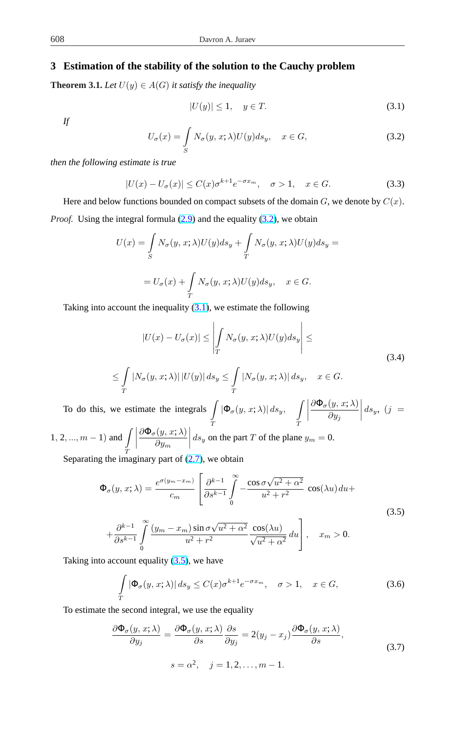# <span id="page-4-0"></span>**3 Estimation of the stability of the solution to the Cauchy problem**

**Theorem 3.1.** *Let*  $U(y) \in A(G)$  *it satisfy the inequality* 

$$
|U(y)| \le 1, \quad y \in T. \tag{3.1}
$$

*If*

$$
U_{\sigma}(x) = \int_{S} N_{\sigma}(y, x; \lambda) U(y) ds_{y}, \quad x \in G,
$$
\n(3.2)

*then the following estimate is true*

$$
|U(x) - U_{\sigma}(x)| \le C(x)\sigma^{k+1}e^{-\sigma x_m}, \quad \sigma > 1, \quad x \in G. \tag{3.3}
$$

Here and below functions bounded on compact subsets of the domain  $G$ , we denote by  $C(x)$ . *Proof.* Using the integral formula (2.9) and the equality (3.2), we obtain

$$
U(x) = \int_{S} N_{\sigma}(y, x; \lambda)U(y)ds_{y} + \int_{T} N_{\sigma}(y, x; \lambda)U(y)ds_{y} =
$$
  
=  $U_{\sigma}(x) + \int_{T} N_{\sigma}(y, x; \lambda)U(y)ds_{y}, \quad x \in G.$ 

Taking into account the inequality  $(3.1)$ , we estimate the following

$$
|U(x) - U_{\sigma}(x)| \le \left| \int_{T} N_{\sigma}(y, x; \lambda) U(y) ds_{y} \right| \le
$$
\n
$$
\le \int_{T} |N_{\sigma}(y, x; \lambda)| |U(y)| ds_{y} \le \int_{T} |N_{\sigma}(y, x; \lambda)| ds_{y}, \quad x \in G.
$$
\n(3.4)

To do this, we estimate the integrals | T  $|\Phi_{\sigma}(y,x;\lambda)| ds_y,$ T ¯ ¯ ¯  $\partial \Phi_{\sigma}(y, x; \lambda)$  $\partial y_j$  $\Big| \, ds_y, \ \big( j \ =$  $1, 2, ..., m - 1)$  and  $\overline{a}$   $\overline{a}$   $\overline{a}$   $\overline{a}$   $\overline{a}$   $\overline{a}$   $\overline{a}$   $\overline{a}$   $\overline{a}$   $\overline{a}$   $\overline{a}$   $\overline{a}$   $\overline{a}$   $\overline{a}$   $\overline{a}$   $\overline{a}$   $\overline{a}$   $\overline{a}$   $\overline{a}$   $\overline{a}$   $\overline{a}$   $\overline{a}$   $\overline{a}$   $\overline{a}$   $\overline{$  $\begin{array}{|c|c|} \hline \multicolumn{1}{|}{\textbf{}} & \multicolumn{1}{|}{\textbf{}} \\ \hline \multicolumn{1}{|}{\textbf{}} & \multicolumn{1}{|}{\textbf{}} \\ \hline \multicolumn{1}{|}{\textbf{}} & \multicolumn{1}{|}{\textbf{}} \\ \hline \multicolumn{1}{|}{\textbf{}} & \multicolumn{1}{|}{\textbf{}} \\ \hline \multicolumn{1}{|}{\textbf{}} & \multicolumn{1}{|}{\textbf{}} \\ \hline \multicolumn{1}{|}{\textbf{}} & \multicolumn{1}{|}{\textbf{}} \\ \hline \multicolumn{1}{|$  $\partial \Phi_{\sigma}(y, x; \lambda)$  $\partial y_m$  $ds_y$  on the part T of the plane  $y_m = 0$ .

T Separating the imaginary part of  $(2.7)$ , we obtain

$$
\Phi_{\sigma}(y, x; \lambda) = \frac{e^{\sigma(y_m - x_m)}}{c_m} \left[ \frac{\partial^{k-1}}{\partial s^{k-1}} \int_{0}^{\infty} -\frac{\cos \sigma \sqrt{u^2 + \alpha^2}}{u^2 + r^2} \cos(\lambda u) du + \frac{\partial^{k-1}}{\partial s^{k-1}} \int_{0}^{\infty} \frac{(y_m - x_m) \sin \sigma \sqrt{u^2 + \alpha^2}}{u^2 + r^2} \frac{\cos(\lambda u)}{\sqrt{u^2 + \alpha^2}} du \right], \quad x_m > 0.
$$
\n(3.5)

Taking into account equality  $(3.5)$ , we have

$$
\int_{T} |\Phi_{\sigma}(y, x; \lambda)| ds_y \le C(x)\sigma^{k+1} e^{-\sigma x_m}, \quad \sigma > 1, \quad x \in G,
$$
\n(3.6)

To estimate the second integral, we use the equality

$$
\frac{\partial \Phi_{\sigma}(y, x; \lambda)}{\partial y_{j}} = \frac{\partial \Phi_{\sigma}(y, x; \lambda)}{\partial s} \frac{\partial s}{\partial y_{j}} = 2(y_{j} - x_{j}) \frac{\partial \Phi_{\sigma}(y, x; \lambda)}{\partial s},
$$
\n
$$
s = \alpha^{2}, \quad j = 1, 2, ..., m - 1.
$$
\n(3.7)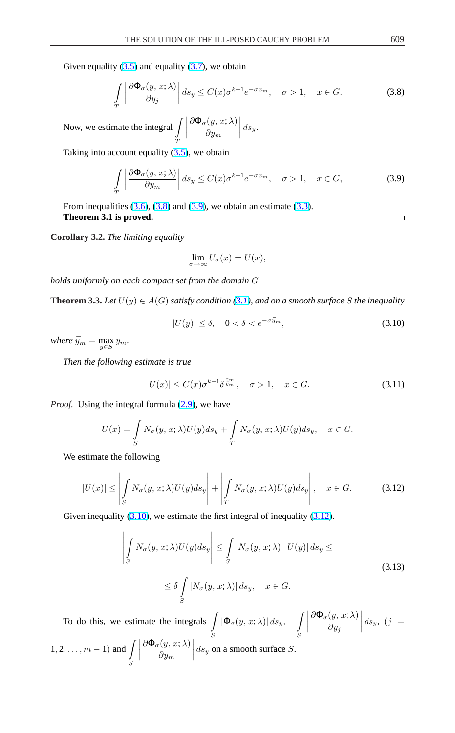Given equality  $(3.5)$  and equality  $(3.7)$ , we obtain

$$
\int_{T} \left| \frac{\partial \Phi_{\sigma}(y, x; \lambda)}{\partial y_{j}} \right| ds_{y} \le C(x) \sigma^{k+1} e^{-\sigma x_{m}}, \quad \sigma > 1, \quad x \in G.
$$
\n(3.8)

Now, we estimate the integral  $\overline{\phantom{a}}$ T ¯ ¯ ¯ ¯  $\partial \Phi_{\sigma}(y, x; \lambda)$  $\partial y_m$  $\Big| ds_y.$ 

Taking into account equality  $(3.5)$ , we obtain

$$
\int_{T} \left| \frac{\partial \Phi_{\sigma}(y, x; \lambda)}{\partial y_{m}} \right| ds_{y} \le C(x) \sigma^{k+1} e^{-\sigma x_{m}}, \quad \sigma > 1, \quad x \in G,
$$
\n(3.9)

From inequalities  $(3.6)$ ,  $(3.8)$  and  $(3.9)$ , we obtain an estimate  $(3.3)$ . **Theorem 3.1 is proved.**

**Corollary 3.2.** *The li[mitin](#page-4-0)g equality*

$$
\lim_{\sigma \to \infty} U_{\sigma}(x) = U(x),
$$

*holds uniformly on each compact set from the domain* G

**Theorem 3.3.** *Let*  $U(y) \in A(G)$  *satisfy condition* (3.1), and on a smooth surface S the inequality

$$
|U(y)| \le \delta, \quad 0 < \delta < e^{-\sigma \bar{y}_m},\tag{3.10}
$$

 $where \bar{y}_m = \max_{y \in S} y_m.$ 

*Then the following estimate is true*

$$
|U(x)| \le C(x)\sigma^{k+1}\delta^{\frac{x_m}{y_m}}, \quad \sigma > 1, \quad x \in G. \tag{3.11}
$$

*Proof.* Using the integral formula  $(2.9)$ , we have

$$
U(x) = \int_{S} N_{\sigma}(y, x; \lambda) U(y) ds_y + \int_{T} N_{\sigma}(y, x; \lambda) U(y) ds_y, \quad x \in G.
$$

We estimate the following

$$
|U(x)| \le \left| \int_{S} N_{\sigma}(y, x; \lambda) U(y) ds_y \right| + \left| \int_{T} N_{\sigma}(y, x; \lambda) U(y) ds_y \right|, \quad x \in G.
$$
 (3.12)

Given inequality (3.10), we estimate the first integral of inequality (3.12).

$$
\left| \int_{S} N_{\sigma}(y, x; \lambda) U(y) ds_{y} \right| \leq \int_{S} |N_{\sigma}(y, x; \lambda)| |U(y)| ds_{y} \leq
$$
\n
$$
\leq \delta \int_{S} |N_{\sigma}(y, x; \lambda)| ds_{y}, \quad x \in G.
$$
\n(3.13)

To do this, we estimate the integrals | S  $|\Phi_{\sigma}(y,x;\lambda)| ds_y,$ S ¯ ¯ ¯ ¯  $\partial \Phi_{\sigma}(y, x; \lambda)$  $\partial y_j$  $\Big| ds_y, (j =$  $1, 2, \ldots, m - 1)$  and S ¯ ¯ ¯ ¯  $\partial \Phi_{\sigma}(y, x; \lambda)$  $\partial y_m$  $\left| \frac{S}{ds_y} \right|$  on a smooth surface S.

 $\Box$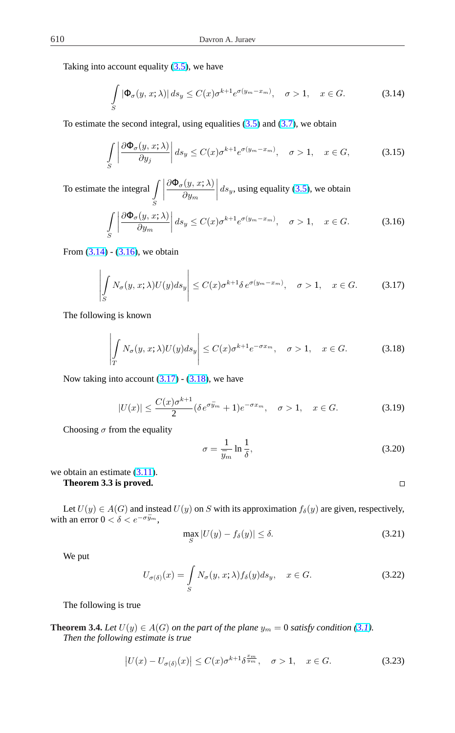<span id="page-6-0"></span>Taking into account equality  $(3.5)$ , we have

$$
\int_{S} |\Phi_{\sigma}(y, x; \lambda)| ds_{y} \le C(x) \sigma^{k+1} e^{\sigma(y_{m} - x_{m})}, \quad \sigma > 1, \quad x \in G.
$$
 (3.14)

To estimate the second integral, using equalities  $(3.5)$  and  $(3.7)$ , we obtain

$$
\int_{S} \left| \frac{\partial \Phi_{\sigma}(y, x; \lambda)}{\partial y_{j}} \right| ds_{y} \le C(x) \sigma^{k+1} e^{\sigma(y_{m} - x_{m})}, \quad \sigma > 1, \quad x \in G,
$$
\n(3.15)

To estimate the integral  $\overline{\phantom{a}}$ S ¯ ¯ ¯ ¯  $\partial \Phi_{\sigma}(y, x; \lambda)$  $\partial y_m$  $\left| ds_y$ , using equality (3.5), we obtain

$$
\int_{S} \left| \frac{\partial \Phi_{\sigma}(y, x; \lambda)}{\partial y_{m}} \right| ds_{y} \le C(x) \sigma^{k+1} e^{\sigma(y_{m} - x_{m})}, \quad \sigma > 1, \quad x \in G.
$$
 (3.16)

From  $(3.14) - (3.16)$ , we obtain

$$
\left| \int_{S} N_{\sigma}(y, x; \lambda) U(y) ds_{y} \right| \leq C(x) \sigma^{k+1} \delta e^{\sigma(y_m - x_m)}, \quad \sigma > 1, \quad x \in G. \tag{3.17}
$$

The following is known

$$
\left| \int_{T} N_{\sigma}(y, x; \lambda) U(y) ds_{y} \right| \leq C(x) \sigma^{k+1} e^{-\sigma x_{m}}, \quad \sigma > 1, \quad x \in G.
$$
 (3.18)

Now taking into account  $(3.17)$  -  $(3.18)$ , we have

$$
|U(x)| \le \frac{C(x)\sigma^{k+1}}{2} (\delta e^{\sigma \bar{y}_m} + 1)e^{-\sigma x_m}, \quad \sigma > 1, \quad x \in G. \tag{3.19}
$$

Choosing  $\sigma$  from the equality

$$
\sigma = \frac{1}{\bar{y}_m} \ln \frac{1}{\delta},\tag{3.20}
$$

 $\Box$ 

we obtain an estimate  $(3.11)$ .

**Theorem 3.3 is proved.**

Let  $U(y) \in A(G)$  and instead  $U(y)$  on S with its approximation  $f_{\delta}(y)$  are given, respectively, with an error  $0 < \delta < e^{-\sigma \bar{y}_m}$ ,

$$
\max_{S} |U(y) - f_{\delta}(y)| \le \delta. \tag{3.21}
$$

We put

$$
U_{\sigma(\delta)}(x) = \int_{S} N_{\sigma}(y, x; \lambda) f_{\delta}(y) ds_{y}, \quad x \in G.
$$
 (3.22)

The following is true

**Theorem 3.4.** *Let*  $U(y) \in A(G)$  *on the part of the plane*  $y_m = 0$  *satisfy condition (3.1). Then the following estimate is true*

$$
\left|U(x) - U_{\sigma(\delta)}(x)\right| \le C(x)\sigma^{k+1}\delta^{\frac{x_m}{\tilde{y}_m}}, \quad \sigma > 1, \quad x \in G. \tag{3.23}
$$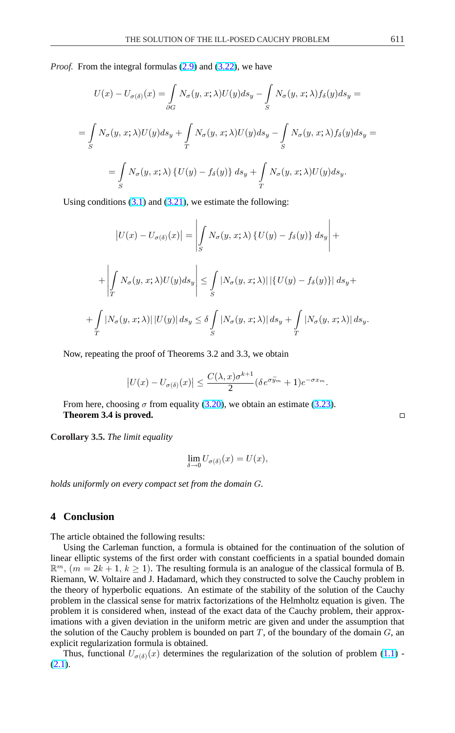*Proof.* From the integral formulas (2.9) and (3.22), we have

$$
U(x) - U_{\sigma(\delta)}(x) = \int_{\partial G} N_{\sigma}(y, x; \lambda)U(y)ds_y - \int_{S} N_{\sigma}(y, x; \lambda)f_{\delta}(y)ds_y =
$$
  

$$
= \int_{S} N_{\sigma}(y, x; \lambda)U(y)ds_y + \int_{T} N_{\sigma}(y, x; \lambda)U(y)ds_y - \int_{S} N_{\sigma}(y, x; \lambda)f_{\delta}(y)ds_y =
$$
  

$$
= \int_{S} N_{\sigma}(y, x; \lambda) \{U(y) - f_{\delta}(y)\} ds_y + \int_{T} N_{\sigma}(y, x; \lambda)U(y)ds_y.
$$

Using conditions  $(3.1)$  and  $(3.21)$ , we estimate the following:

$$
\begin{aligned}\n|U(x) - U_{\sigma(\delta)}(x)| &= \left| \int_{S} N_{\sigma}(y, x; \lambda) \{ U(y) - f_{\delta}(y) \} ds_y \right| + \\
&+ \left| \int_{T} N_{\sigma}(y, x; \lambda) U(y) ds_y \right| \le \int_{S} |N_{\sigma}(y, x; \lambda)| |\{ U(y) - f_{\delta}(y) \}| ds_y + \\
&+ \int_{T} |N_{\sigma}(y, x; \lambda)| |U(y)| ds_y \le \delta \int_{S} |N_{\sigma}(y, x; \lambda)| ds_y + \int_{T} |N_{\sigma}(y, x; \lambda)| ds_y.\n\end{aligned}
$$

Now, repeating the proof of Theorems 3.2 and 3.3, we obtain

$$
\left|U(x) - U_{\sigma(\delta)}(x)\right| \le \frac{C(\lambda, x)\sigma^{k+1}}{2} (\delta e^{\sigma \bar{y}_m} + 1)e^{-\sigma x_m}.
$$

From here, choosing  $\sigma$  from equality (3.20), we obtain an estimate (3.23). **Theorem 3.4 is proved.**

**Corollary 3.5.** *The limit equality*

$$
\lim_{\delta \to 0} U_{\sigma(\delta)}(x) = U(x),
$$

*holds uniformly on every compact set from the domain* G*.*

### **4 Conclusion**

The article obtained the following results:

Using the Carleman function, a formula is obtained for the continuation of the solution of linear elliptic systems of the first order with constant coefficients in a spatial bounded domain  $\mathbb{R}^m$ ,  $(m = 2k + 1, k \ge 1)$ . The resulting formula is an analogue of the classical formula of B. Riemann, W. Voltaire and J. Hadamard, which they constructed to solve the Cauchy problem in the theory of hyperbolic equations. An estimate of the stability of the solution of the Cauchy problem in the classical sense for matrix factorizations of the Helmholtz equation is given. The problem it is considered when, instead of the exact data of the Cauchy problem, their approximations with a given deviation in the uniform metric are given and under the assumption that the solution of the Cauchy problem is bounded on part  $T$ , of the boundary of the domain  $G$ , an explicit regularization formula is obtained.

Thus, functional  $U_{\sigma(\delta)}(x)$  determines the regularization of the solution of problem (1.1) - $(2.1).$ 

 $\Box$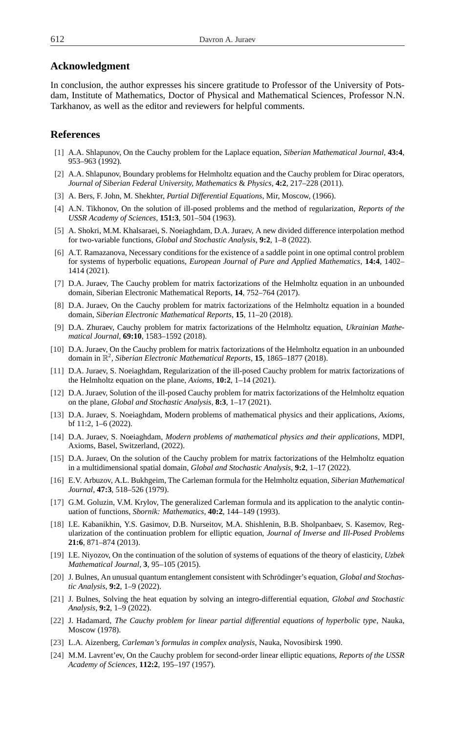### <span id="page-8-0"></span>**Acknowledgment**

In conclusion, the author expresses his sincere gratitude to Professor of the University of Potsdam, Institute of Mathematics, Doctor of Physical and Mathematical Sciences, Professor N.N. Tarkhanov, as well as the editor and reviewers for helpful comments.

### **References**

- [1] A.A. Shlapunov, On the Cauchy problem for the Laplace equation, *Siberian Mathematical Journal*, **43:4**, 953–963 (1992).
- [2] A.A. Shlapunov, Boundary problems for Helmholtz equation and the Cauchy problem for Dirac operators, *Journal of Siberian Federal University, Mathematics* & *Physics*, **4:2**, 217–228 (2011).
- [3] A. Bers, F. John, M. Shekhter, *Partial Differential Equations*, Mir, Moscow, (1966).
- [4] A.N. Tikhonov, On the solution of ill-posed problems and the method of regularization, *Reports of the USSR Academy of Sciences*, **151:3**, 501–504 (1963).
- [5] A. Shokri, M.M. Khalsaraei, S. Noeiaghdam, D.A. Juraev, A new divided difference interpolation method for two-variable functions, *Global and Stochastic Analysis*, **9:2**, 1–8 (2022).
- [6] A.T. Ramazanova, Necessary conditions for the existence of a saddle point in one optimal control problem for systems of hyperbolic equations, *European Journal of Pure and Applied Mathematics*, **14:4**, 1402– 1414 (2021).
- [7] D.A. Juraev, The Cauchy problem for matrix factorizations of the Helmholtz equation in an unbounded domain, Siberian Electronic Mathematical Reports, **14**, 752–764 (2017).
- [8] D.A. Juraev, On the Cauchy problem for matrix factorizations of the Helmholtz equation in a bounded domain, *Siberian Electronic Mathematical Reports*, **15**, 11–20 (2018).
- [9] D.A. Zhuraev, Cauchy problem for matrix factorizations of the Helmholtz equation, *Ukrainian Mathematical Journal*, **69:10**, 1583–1592 (2018).
- [10] D.A. Juraev, On the Cauchy problem for matrix factorizations of the Helmholtz equation in an unbounded domain in R 2 , *Siberian Electronic Mathematical Reports*, **15**, 1865–1877 (2018).
- [11] D.A. Juraev, S. Noeiaghdam, Regularization of the ill-posed Cauchy problem for matrix factorizations of the Helmholtz equation on the plane, *Axioms*, **10:2**, 1–14 (2021).
- [12] D.A. Juraev, Solution of the ill-posed Cauchy problem for matrix factorizations of the Helmholtz equation on the plane, *Global and Stochastic Analysis*, **8:3**, 1–17 (2021).
- [13] D.A. Juraev, S. Noeiaghdam, Modern problems of mathematical physics and their applications, *Axioms*, bf 11:2, 1–6 (2022).
- [14] D.A. Juraev, S. Noeiaghdam, *Modern problems of mathematical physics and their applications*, MDPI, Axioms, Basel, Switzerland, (2022).
- [15] D.A. Juraev, On the solution of the Cauchy problem for matrix factorizations of the Helmholtz equation in a multidimensional spatial domain, *Global and Stochastic Analysis*, **9:2**, 1–17 (2022).
- [16] E.V. Arbuzov, A.L. Bukhgeim, The Carleman formula for the Helmholtz equation, *Siberian Mathematical Journal*, **47:3**, 518–526 (1979).
- [17] G.M. Goluzin, V.M. Krylov, The generalized Carleman formula and its application to the analytic continuation of functions, *Sbornik: Mathematics*, **40:2**, 144–149 (1993).
- [18] I.E. Kabanikhin, Y.S. Gasimov, D.B. Nurseitov, M.A. Shishlenin, B.B. Sholpanbaev, S. Kasemov, Regularization of the continuation problem for elliptic equation, *Journal of Inverse and Ill-Posed Problems* **21:6**, 871–874 (2013).
- [19] I.E. Niyozov, On the continuation of the solution of systems of equations of the theory of elasticity, *Uzbek Mathematical Journal*, **3**, 95–105 (2015).
- [20] J. Bulnes, An unusual quantum entanglement consistent with Schrödinger's equation, *Global and Stochastic Analysis*, **9:2**, 1–9 (2022).
- [21] J. Bulnes, Solving the heat equation by solving an integro-differential equation, *Global and Stochastic Analysis*, **9:2**, 1–9 (2022).
- [22] J. Hadamard, *The Cauchy problem for linear partial differential equations of hyperbolic type*, Nauka, Moscow (1978).
- [23] L.A. Aizenberg, *Carleman's formulas in complex analysis*, Nauka, Novosibirsk 1990.
- [24] M.M. Lavrent'ev, On the Cauchy problem for second-order linear elliptic equations, *Reports of the USSR Academy of Sciences*, **112:2**, 195–197 (1957).